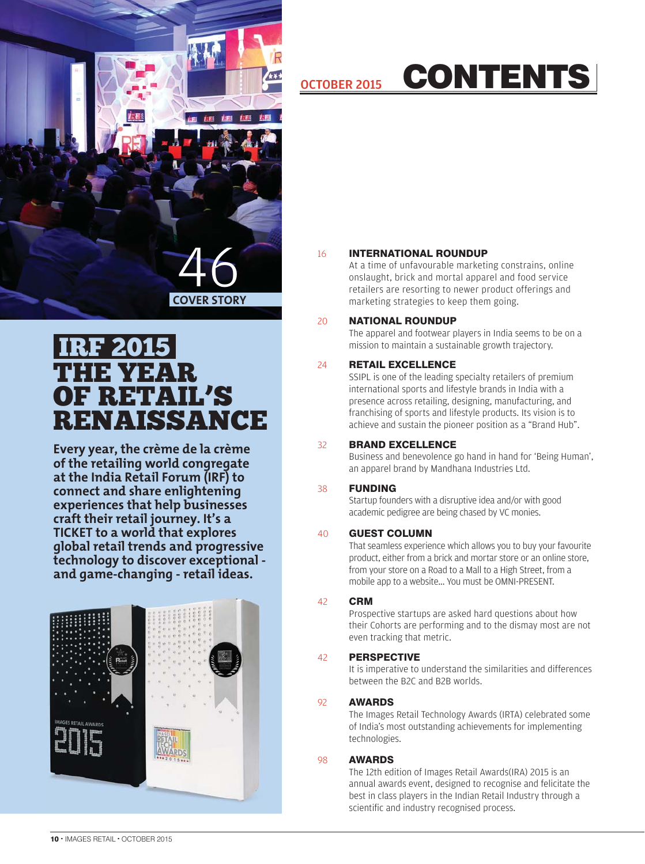

### THE YEAR OF RETAIL'S RENAISSANCE IRF 201

**Every year, the crème de la crème of the retailing world congregate at the India Retail Forum (IRF) to connect and share enlightening experiences that help businesses craft their retail journey. It's a TICKET to a world that explores global retail trends and progressive technology to discover exceptional and game-changing - retail ideas.**



# OCTOBER 2015 CONTENTS

### 16 INTERNATIONAL ROUNDUP

At a time of unfavourable marketing constrains, online onslaught, brick and mortal apparel and food service retailers are resorting to newer product offerings and marketing strategies to keep them going.

### 20 NATIONAL ROUNDUP

The apparel and footwear players in India seems to be on a mission to maintain a sustainable growth trajectory.

### 24 **RETAIL EXCELLENCE**

SSIPL is one of the leading specialty retailers of premium international sports and lifestyle brands in India with a presence across retailing, designing, manufacturing, and franchising of sports and lifestyle products. Its vision is to achieve and sustain the pioneer position as a "Brand Hub".

### 32 BRAND EXCELLENCE

Business and benevolence go hand in hand for 'Being Human', an apparel brand by Mandhana Industries Ltd.

### 38 **FUNDING**

Startup founders with a disruptive idea and/or with good academic pedigree are being chased by VC monies.

### 40 GUEST COLUMN

That seamless experience which allows you to buy your favourite product, either from a brick and mortar store or an online store, from your store on a Road to a Mall to a High Street, from a mobile app to a website... You must be OMNI-PRESENT.

### 42 CRM

Prospective startups are asked hard questions about how their Cohorts are performing and to the dismay most are not even tracking that metric.

### 42 PERSPECTIVE

It is imperative to understand the similarities and differences between the B2C and B2B worlds.

### 92 AWARDS

The Images Retail Technology Awards (IRTA) celebrated some of India's most outstanding achievements for implementing technologies.

### 98 AWARDS

 The 12th edition of Images Retail Awards(IRA) 2015 is an annual awards event, designed to recognise and felicitate the best in class players in the Indian Retail Industry through a scientific and industry recognised process.